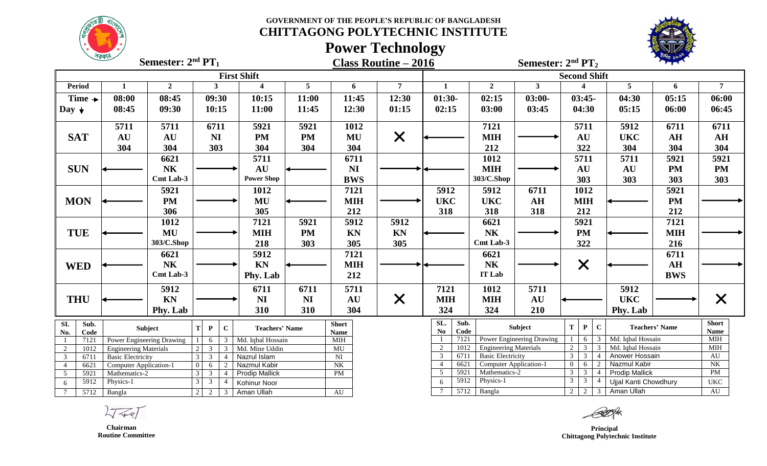**GOVERNMENT OF THE PEOPLE'S REPUBLIC OF BANGLADESH CHITTAGONG POLYTECHNIC INSTITUTE**



# **Power Technology**



|                            | <u>Same</u>                                                                                | Semester: $2nd PT1$       |                     |                              |                         |                                          |                             | <b>Class Routine - 2016</b>              |                                                    | Semester: 2 <sup>nd</sup> PT <sub>2</sub>    |                            |                |                          |                                     |                       |                              |                             |
|----------------------------|--------------------------------------------------------------------------------------------|---------------------------|---------------------|------------------------------|-------------------------|------------------------------------------|-----------------------------|------------------------------------------|----------------------------------------------------|----------------------------------------------|----------------------------|----------------|--------------------------|-------------------------------------|-----------------------|------------------------------|-----------------------------|
|                            |                                                                                            |                           |                     |                              | <b>First Shift</b>      |                                          |                             |                                          | <b>Second Shift</b>                                |                                              |                            |                |                          |                                     |                       |                              |                             |
| <b>Period</b>              | 1                                                                                          | $\overline{2}$            | $\mathbf{3}$        |                              | $\overline{\mathbf{4}}$ | $5^{\circ}$                              | 6                           | $7\phantom{.0}$                          | 1                                                  | $\overline{2}$                               | $\mathbf{3}$               |                | $\boldsymbol{\varDelta}$ |                                     | 5 <sup>5</sup>        | 6                            | 7                           |
| Time $\rightarrow$         | 08:00                                                                                      | 08:45                     | 09:30               |                              | 10:15                   | 11:00                                    | 11:45                       | 12:30                                    | $01:30-$                                           | 02:15                                        | $03:00-$                   |                | $03:45-$                 |                                     | 04:30                 | 05:15                        | 06:00                       |
| Day $\downarrow$           | 08:45                                                                                      | 09:30                     | 10:15               |                              | 11:00                   | 11:45                                    | 12:30                       | 01:15                                    | 02:15                                              | 03:00                                        | 03:45                      |                | 04:30                    |                                     | 05:15                 | 06:00                        | 06:45                       |
|                            | 5711                                                                                       | 5711                      | 6711                |                              | 5921                    | 5921                                     | 1012                        |                                          |                                                    | 7121                                         |                            |                | 5711                     |                                     | 5912                  | 6711                         | 6711                        |
| <b>SAT</b>                 | AU                                                                                         | AU                        | NI                  |                              | PM                      | <b>PM</b>                                | MU                          | $\times$                                 |                                                    | <b>MIH</b>                                   |                            |                | <b>AU</b>                |                                     | <b>UKC</b>            | AH                           | ${\bf AH}$                  |
|                            | 304                                                                                        | 304                       | 303                 |                              | 304                     | 304                                      | 304                         |                                          |                                                    | 212                                          |                            |                | 322                      |                                     | 304                   | 304                          | 304                         |
|                            |                                                                                            | 6621                      |                     |                              | 5711                    |                                          | 6711                        |                                          |                                                    | 1012                                         |                            |                | 5711                     |                                     | 5711                  | 5921                         | 5921                        |
| <b>SUN</b>                 |                                                                                            | N <sub>K</sub>            |                     |                              | AU                      |                                          | N <sub>I</sub>              |                                          |                                                    | <b>MIH</b>                                   |                            |                | <b>AU</b>                |                                     | AU                    | <b>PM</b>                    | <b>PM</b>                   |
|                            |                                                                                            | Cmt Lab-3                 |                     |                              | <b>Power Shop</b>       |                                          | <b>BWS</b>                  |                                          |                                                    | 303/C.Shop                                   |                            |                | 303                      |                                     | 303                   | 303                          | 303                         |
|                            |                                                                                            | 5921                      |                     |                              | 1012                    |                                          | 7121                        |                                          | 5912                                               | 5912                                         | 6711                       |                | 1012                     |                                     |                       | 5921                         |                             |
| <b>MON</b>                 |                                                                                            | <b>PM</b>                 |                     |                              | MU                      |                                          | <b>MIH</b>                  |                                          | <b>UKC</b>                                         | <b>UKC</b>                                   | AH                         |                | <b>MIH</b>               |                                     |                       | <b>PM</b>                    |                             |
|                            |                                                                                            | 306                       |                     |                              | 305                     |                                          | 212                         |                                          | 318                                                | 318                                          | 318                        |                | 212                      |                                     |                       | 212                          |                             |
|                            |                                                                                            | 1012                      |                     |                              | 7121                    | 5921                                     | 5912                        | 5912                                     |                                                    | 6621                                         |                            |                | 5921                     |                                     |                       | 7121                         |                             |
| <b>TUE</b>                 |                                                                                            | <b>MU</b>                 |                     |                              | <b>MIH</b>              | <b>PM</b>                                | <b>KN</b>                   | KN                                       |                                                    | N <sub>K</sub>                               |                            |                | <b>PM</b>                |                                     |                       | <b>MIH</b>                   |                             |
|                            |                                                                                            | 303/C.Shop                |                     |                              | 218                     | 303                                      | 305                         | 305                                      |                                                    | Cmt Lab-3                                    |                            |                | 322                      |                                     |                       | 216                          |                             |
|                            |                                                                                            | 6621                      |                     |                              | 5912                    |                                          | 7121                        |                                          |                                                    | 6621                                         |                            |                |                          |                                     |                       | 6711                         |                             |
| <b>WED</b>                 |                                                                                            | N <sub>K</sub>            |                     |                              | KN                      |                                          | <b>MIH</b>                  |                                          |                                                    | N <sub>K</sub>                               |                            |                | $\times$                 |                                     |                       | AH                           |                             |
|                            |                                                                                            | Cmt Lab-3                 |                     |                              | Phy. Lab                |                                          | 212                         |                                          |                                                    | IT Lab                                       |                            |                |                          |                                     |                       | <b>BWS</b>                   |                             |
|                            |                                                                                            | 5912                      |                     |                              | 6711                    | 6711                                     | 5711                        |                                          | 7121                                               | 1012                                         | 5711                       |                |                          |                                     | 5912                  |                              |                             |
| <b>THU</b>                 |                                                                                            | <b>KN</b>                 |                     |                              | <b>NI</b>               | <b>NI</b>                                | <b>AU</b>                   | $\times$                                 | <b>MIH</b>                                         | <b>MIH</b>                                   | <b>AU</b>                  |                |                          |                                     | <b>UKC</b>            |                              | $\bm{\mathsf{X}}$           |
|                            |                                                                                            | Phy. Lab                  |                     |                              | 310                     | 310                                      | 304                         |                                          | 324                                                | 324                                          | 210                        |                |                          |                                     | Phy. Lab              |                              |                             |
| SI.<br>Sub.<br>No.<br>Code |                                                                                            | Subject                   | ${\bf P}$<br>T      | $\mathbf{C}$                 | <b>Teachers' Name</b>   |                                          | <b>Short</b><br><b>Name</b> |                                          | SL.<br>Sub.<br>$\mathbf{N}\mathbf{o}$<br>Code      |                                              | Subject                    | $\mathbf{T}$   | $\mathbf P$              | $\mathbf{C}$                        |                       | <b>Teachers' Name</b>        | <b>Short</b><br><b>Name</b> |
| 7121                       |                                                                                            | Power Engineering Drawing | 6                   |                              | Md. Iqbal Hossain       |                                          | MIH                         |                                          | 7121                                               |                                              | Power Engineering Drawing  |                |                          | $\mathcal{R}$                       | Md. Iqbal Hossain     |                              | MIH                         |
| 2                          | 1012<br><b>Engineering Materials</b>                                                       |                           | $\mathfrak{Z}$      | 3                            | Md. Mine Uddin          |                                          | MU                          |                                          | 2                                                  | 1012<br><b>Engineering Materials</b><br>6711 |                            | $\overline{2}$ | $\mathbf{3}$             | Md. Iqbal Hossain<br>$\overline{3}$ |                       |                              | MIH                         |
| $\overline{3}$             | $\overline{3}$<br>3 <sup>7</sup><br>6711<br><b>Basic Electricity</b><br>6                  |                           | 4                   | Nazrul Islam<br>Nazmul Kabir |                         | $\mathbf{N}\mathbf{I}$<br>N <sub>K</sub> |                             | $\mathfrak{Z}$<br>6621<br>$\overline{4}$ | <b>Basic Electricity</b><br>Computer Application-1 |                                              | 3 <sup>7</sup><br>$\Omega$ | 3<br>6         | $\overline{4}$<br>2      | Anower Hossain<br>Nazmul Kabir      |                       | AU<br>$\overline{\text{NK}}$ |                             |
| $\overline{5}$<br>5921     | 6621<br>$\overline{4}$<br><b>Computer Application-1</b><br>$\overline{0}$<br>Mathematics-2 |                           | $\overline{3}$<br>3 |                              | <b>Prodip Mallick</b>   |                                          | PM                          |                                          | 5921<br>5                                          | Mathematics-2                                |                            | 3 <sup>7</sup> | 3 <sup>1</sup>           | $\overline{4}$                      | <b>Prodip Mallick</b> |                              | PM                          |
| 5912<br>6                  | $\overline{3}$<br>3<br>Physics-1                                                           |                           |                     | Kohinur Noor                 |                         |                                          |                             | 5912<br>6                                | Physics-1                                          |                                              | 3 <sup>7</sup>             | 3              |                          | Ujjal Kanti Chowdhury               |                       | $_{\rm UKC}$                 |                             |
| 5712<br>$\tau$             | Bangla                                                                                     |                           | $2^{\circ}$<br>2    | $\mathbf{3}$                 | Aman Ullah              |                                          | <b>AU</b>                   |                                          |                                                    | 5712<br>Bangla                               |                            | $\overline{2}$ |                          |                                     | 2 3 Aman Ullah        |                              | AU                          |

 **Chairman Routine Committee**

*Principal*  **Chittagong Polytechnic Institute**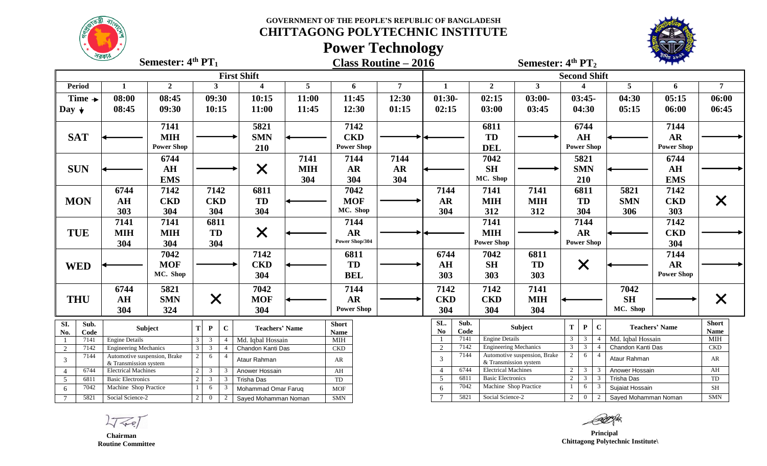**GOVERNMENT OF THE PEOPLE'S REPUBLIC OF BANGLADESH CHITTAGONG POLYTECHNIC INSTITUTE**

# **Power Technology**



| $\sim$<br>Semester: $4th PT1$ |                              |                              |   |                |                         |                       |                              | <b>Class Routine - 2016</b> |   |                |                               |              | Semester: 4 <sup>th</sup> PT <sub>2</sub> |                              |                |                               |                |                      |                       |                             |
|-------------------------------|------------------------------|------------------------------|---|----------------|-------------------------|-----------------------|------------------------------|-----------------------------|---|----------------|-------------------------------|--------------|-------------------------------------------|------------------------------|----------------|-------------------------------|----------------|----------------------|-----------------------|-----------------------------|
|                               |                              |                              |   |                |                         | <b>First Shift</b>    |                              |                             |   |                |                               |              |                                           |                              |                | <b>Second Shift</b>           |                |                      |                       |                             |
| <b>Period</b>                 | $\mathbf{1}$                 | $\overline{2}$               |   | $\mathbf{3}$   |                         | $\boldsymbol{4}$      | $5\phantom{.0}$              |                             | 6 | $\overline{7}$ | $\mathbf{1}$                  |              | $\overline{2}$                            | $\mathbf{3}$                 |                | Δ                             |                | $5\phantom{.0}$      | 6                     | $\overline{7}$              |
| Time $\rightarrow$            | 08:00                        | 08:45                        |   | 09:30          |                         | 10:15                 | 11:00                        | 11:45                       |   | 12:30          | $01:30-$                      |              | 02:15                                     | $03:00-$                     |                | $03:45-$                      |                | 04:30                | 05:15                 | 06:00                       |
| Day $\downarrow$              | 08:45                        | 09:30                        |   | 10:15          |                         | 11:00                 | 11:45                        | 12:30                       |   | 01:15          | 02:15                         |              | 03:00                                     | 03:45                        |                | 04:30                         |                | 05:15                | 06:00                 | 06:45                       |
|                               |                              | 7141                         |   |                |                         | 5821                  |                              | 7142                        |   |                |                               |              | 6811                                      |                              |                | 6744                          |                |                      | 7144                  |                             |
| <b>SAT</b>                    |                              | <b>MIH</b>                   |   |                |                         | <b>SMN</b>            |                              | <b>CKD</b>                  |   |                |                               |              | TD                                        |                              |                | AH                            |                |                      | <b>AR</b>             |                             |
|                               |                              | <b>Power Shop</b>            |   |                |                         | 210                   |                              | <b>Power Shop</b>           |   |                |                               |              | <b>DEL</b>                                |                              |                | <b>Power Shop</b>             |                |                      | <b>Power Shop</b>     |                             |
|                               |                              | 6744                         |   |                |                         |                       | 7141                         | 7144                        |   | 7144           |                               |              | 7042                                      |                              |                | 5821                          |                |                      | 6744                  |                             |
| <b>SUN</b>                    |                              | AH                           |   |                |                         | $\times$              | <b>MIH</b>                   | <b>AR</b>                   |   | <b>AR</b>      |                               |              | <b>SH</b>                                 |                              |                | <b>SMN</b>                    |                |                      | AH                    |                             |
|                               |                              | <b>EMS</b>                   |   |                |                         |                       | 304                          | 304                         |   | 304            |                               |              | MC. Shop                                  |                              |                | 210                           |                |                      | <b>EMS</b>            |                             |
|                               | 6744                         | 7142                         |   | 7142           |                         | 6811                  |                              | 7042                        |   |                | 7144                          |              | 7141                                      | 7141                         |                | 6811                          |                | 5821                 | 7142                  |                             |
| <b>MON</b>                    | AH                           | <b>CKD</b>                   |   | <b>CKD</b>     |                         | <b>TD</b>             |                              | <b>MOF</b>                  |   |                | <b>AR</b>                     |              | <b>MIH</b>                                | <b>MIH</b>                   |                | <b>TD</b>                     |                | <b>SMN</b>           | <b>CKD</b>            | X                           |
|                               | 303                          | 304                          |   | 304            |                         | 304                   |                              | MC. Shop                    |   |                | 304                           |              | 312                                       | 312                          |                | 304                           |                | 306                  | 303                   |                             |
|                               | 7141                         | 7141                         |   | 6811           |                         |                       |                              | 7144                        |   |                |                               |              | 7141                                      |                              |                | 7144                          |                |                      | 7142                  |                             |
| <b>TUE</b>                    | <b>MIH</b>                   | <b>MIH</b>                   |   | <b>TD</b>      |                         | $\bm{\mathsf{X}}$     |                              | <b>AR</b>                   |   |                |                               |              | <b>MIH</b>                                |                              |                | AR                            |                |                      | <b>CKD</b>            |                             |
|                               | 304                          | 304                          |   | 304            |                         |                       |                              | Power Shop/304              |   |                |                               |              | <b>Power Shop</b>                         |                              |                | <b>Power Shop</b>             |                |                      | 304                   |                             |
|                               |                              | 7042                         |   |                |                         | 7142                  |                              | 6811                        |   |                | 6744                          |              | 7042                                      | 6811                         |                |                               |                |                      | 7144                  |                             |
| <b>WED</b>                    |                              | <b>MOF</b>                   |   |                |                         | <b>CKD</b>            |                              | <b>TD</b>                   |   |                | AH                            |              | <b>SH</b>                                 | TD                           |                | $\times$                      |                |                      | <b>AR</b>             |                             |
|                               |                              | MC. Shop                     |   |                |                         | 304                   |                              | <b>BEL</b>                  |   |                | 303                           |              | 303                                       | 303                          |                |                               |                |                      | <b>Power Shop</b>     |                             |
|                               | 6744                         | 5821                         |   |                |                         | 7042                  |                              | 7144                        |   |                | 7142                          |              | 7142                                      | 7141                         |                |                               |                | 7042                 |                       |                             |
| <b>THU</b>                    | AH                           | <b>SMN</b>                   |   | $\times$       |                         | <b>MOF</b>            |                              | <b>AR</b>                   |   |                | <b>CKD</b>                    |              | <b>CKD</b>                                | <b>MIH</b>                   |                |                               |                | <b>SH</b>            |                       | X                           |
|                               | 304                          | 324                          |   |                |                         | 304                   |                              | <b>Power Shop</b>           |   |                | 304                           |              | 304                                       | 304                          |                |                               |                | MC. Shop             |                       |                             |
| Sub.<br>SI.<br>No.<br>Code    |                              | Subject                      | T | $\mathbf{P}$   | $\mathbf{C}$            | <b>Teachers' Name</b> |                              | <b>Short</b><br><b>Name</b> |   |                | SL.<br>$\mathbf{N}\mathbf{o}$ | Sub.<br>Code |                                           | Subject                      | T              | ${\bf P}$                     | $\mathbf{C}$   |                      | <b>Teachers' Name</b> | <b>Short</b><br><b>Name</b> |
| 7141                          | <b>Engine Details</b>        |                              |   | 3              | $\overline{4}$          | Md. Iqbal Hossain     |                              | $\mathbf{MH}$               |   |                |                               | 7141         | <b>Engine Details</b>                     |                              | 3 <sup>1</sup> | 3                             |                | Md. Iqbal Hossain    |                       | MIH                         |
| 7142<br>2                     | <b>Engineering Mechanics</b> |                              |   | 3 <sup>7</sup> | $\overline{4}$          | Chandon Kanti Das     |                              | <b>CKD</b>                  |   |                | $\overline{2}$                | 7142<br>7144 | <b>Engineering Mechanics</b>              |                              | $3-1$          | 3 <sup>1</sup>                | $\overline{4}$ | Chandon Kanti Das    |                       | CKD                         |
| 7144<br>$\overline{3}$        | & Transmission system        | Automotive suspension, Brake |   | 6              | $\overline{4}$          | Ataur Rahman          |                              | AR                          |   |                | 3 <sup>7</sup>                |              | & Transmission system                     | Automotive suspension, Brake | 2              | 6                             |                | Ataur Rahman         |                       | AR                          |
| 6744<br>$\overline{4}$        | <b>Electrical Machines</b>   |                              |   | 3              | 3                       | Anower Hossain        |                              |                             |   |                | 4                             | 6744         | <b>Electrical Machines</b>                |                              | 2              | $\mathbf{3}$                  | 3              | Anower Hossain       |                       | AH                          |
| 5<br>6811                     | <b>Basic Electronics</b>     |                              |   | 3 <sup>1</sup> | $\overline{\mathbf{3}}$ | Trisha Das            |                              | TD                          |   |                | 5 <sup>5</sup>                | 6811         | <b>Basic Electronics</b>                  |                              | $\overline{2}$ | 3                             | 3              | Trisha Das           |                       | TD                          |
| 7042<br>6                     | Machine Shop Practice        |                              |   | 6              | 3                       |                       | Mohammad Omar Faruq<br>$MOF$ |                             |   |                | 6                             | 7042         | Machine Shop Practice                     |                              |                | 6                             | 3              | Sujaiat Hossain      |                       | SH                          |
| 5821<br>$7\phantom{.0}$       | Social Science-2             |                              |   | $\overline{0}$ | 2                       | Saved Mohamman Noman  |                              | SMN                         |   |                | $\tau$                        | 5821         | Social Science-2                          |                              |                | $2^{\circ}$<br>$\overline{0}$ | 2              | Sayed Mohamman Noman |                       | <b>SMN</b>                  |

 $2777$ 

 **Chairman Routine Committee**

*Principal*  **Chittagong Polytechnic Institute\**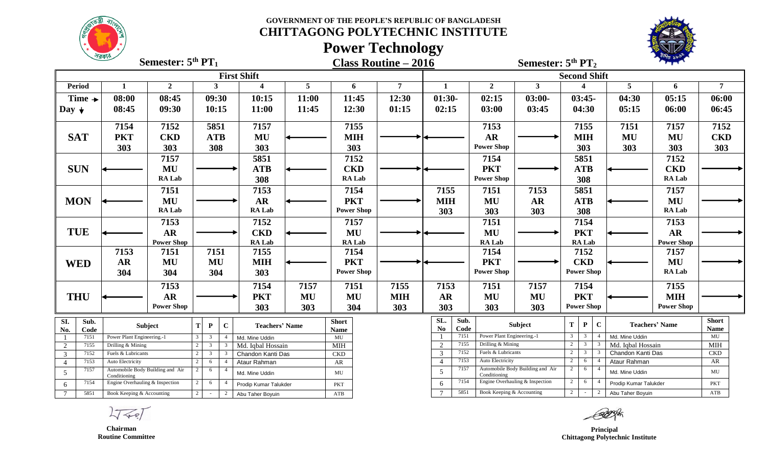**GOVERNMENT OF THE PEOPLE'S REPUBLIC OF BANGLADESH**

**CHITTAGONG POLYTECHNIC INSTITUTE**

**Power Technology**



| 7595                                             |                                                                     | Class Routine $-2016$                                                  |                       |            |                             |                       |           | Semester: $5th PT2$   |              |                            |                     | <b>CER RAIN</b> |                                         |                                   |                       |                                |                       |                   |                |
|--------------------------------------------------|---------------------------------------------------------------------|------------------------------------------------------------------------|-----------------------|------------|-----------------------------|-----------------------|-----------|-----------------------|--------------|----------------------------|---------------------|-----------------|-----------------------------------------|-----------------------------------|-----------------------|--------------------------------|-----------------------|-------------------|----------------|
|                                                  |                                                                     |                                                                        |                       |            |                             | <b>First Shift</b>    |           |                       |              |                            | <b>Second Shift</b> |                 |                                         |                                   |                       |                                |                       |                   |                |
| <b>Period</b>                                    |                                                                     | $\overline{2}$                                                         |                       | 3          |                             | $\boldsymbol{4}$      | 5         | 6                     |              | $\overline{7}$             | $\mathbf{1}$        |                 | $\overline{2}$                          | $\mathbf{3}$                      |                       |                                | 5                     | 6                 | $\overline{7}$ |
| Time $\rightarrow$                               | 08:00                                                               | 08:45                                                                  |                       | 09:30      |                             | 10:15                 | 11:00     | 11:45                 |              | 12:30                      | $01:30-$            |                 | 02:15                                   | $03:00-$                          |                       | $03:45-$                       | 04:30                 | 05:15             | 06:00          |
| Day $\downarrow$                                 | 08:45                                                               | 09:30                                                                  |                       | 10:15      |                             | 11:00                 | 11:45     | 12:30                 |              | 01:15                      | 02:15               |                 | 03:00                                   | 03:45                             |                       | 04:30                          | 05:15                 | 06:00             | 06:45          |
|                                                  | 7154                                                                | 7152                                                                   |                       | 5851       |                             | 7157                  |           | 7155                  |              |                            |                     |                 | 7153                                    |                                   |                       | 7155                           | 7151                  | 7157              | 7152           |
| <b>SAT</b>                                       | <b>PKT</b>                                                          | <b>CKD</b>                                                             |                       | <b>ATB</b> |                             | MU                    |           | <b>MIH</b>            |              |                            |                     |                 | <b>AR</b>                               |                                   |                       | <b>MIH</b>                     | MU                    | MU                | <b>CKD</b>     |
|                                                  | 303                                                                 | 303                                                                    |                       | 308        |                             | 303                   |           | 303                   |              |                            |                     |                 | <b>Power Shop</b>                       |                                   |                       | 303                            | 303                   | 303               | 303            |
|                                                  |                                                                     | 7157                                                                   |                       |            |                             | 5851                  |           | 7152                  |              |                            |                     |                 | 7154                                    |                                   |                       | 5851                           |                       | 7152              |                |
| <b>SUN</b>                                       |                                                                     | MU                                                                     |                       |            |                             | <b>ATB</b>            |           | <b>CKD</b>            |              |                            |                     |                 | <b>PKT</b>                              |                                   |                       | <b>ATB</b>                     |                       | <b>CKD</b>        |                |
|                                                  |                                                                     | RA Lab                                                                 |                       |            |                             | 308                   |           | RA Lab                |              |                            |                     |                 | <b>Power Shop</b>                       |                                   |                       | 308                            |                       | RA Lab            |                |
|                                                  |                                                                     | 7151                                                                   |                       |            |                             | 7153                  |           | 7154                  |              |                            | 7155                |                 | 7151                                    | 7153                              |                       | 5851                           |                       | 7157              |                |
| <b>MON</b>                                       |                                                                     | MU                                                                     |                       |            |                             | $\mathbf{AR}$         |           | <b>PKT</b>            |              |                            | <b>MIH</b>          |                 | MU                                      | <b>AR</b>                         |                       | ATB                            |                       | MU                |                |
|                                                  |                                                                     | RA Lab                                                                 |                       |            |                             | RA Lab                |           | <b>Power Shop</b>     |              |                            | 303                 |                 | 303                                     | 303                               |                       | 308                            |                       | RA Lab            |                |
|                                                  |                                                                     | 7153                                                                   |                       |            |                             | 7152                  |           | 7157                  |              |                            |                     |                 | 7151                                    |                                   |                       | 7154                           |                       | 7153              |                |
| <b>TUE</b>                                       |                                                                     | AR                                                                     |                       |            |                             | <b>CKD</b>            |           | MU                    |              |                            |                     |                 | MU                                      |                                   |                       | <b>PKT</b>                     |                       | AR                |                |
|                                                  |                                                                     | <b>Power Shop</b>                                                      |                       |            |                             | RA Lab                |           | RA Lab                |              |                            |                     |                 | RA Lab                                  |                                   |                       | RA Lab                         |                       | <b>Power Shop</b> |                |
|                                                  | 7153                                                                | 7151                                                                   |                       | 7151       |                             | 7155                  |           | 7154                  |              |                            |                     |                 | 7154                                    |                                   |                       | 7152                           |                       | 7157              |                |
| <b>WED</b>                                       | <b>AR</b>                                                           | MU                                                                     |                       | MU         |                             | <b>MIH</b>            |           | <b>PKT</b>            |              |                            |                     |                 | <b>PKT</b>                              |                                   |                       | <b>CKD</b>                     |                       | MU                |                |
|                                                  | 304                                                                 | 304                                                                    |                       | 304        |                             | 303                   |           | <b>Power Shop</b>     |              |                            |                     |                 | <b>Power Shop</b>                       |                                   |                       | <b>Power Shop</b>              |                       | RA Lab            |                |
|                                                  |                                                                     | 7153                                                                   |                       |            |                             | 7154                  | 7157      | 7151                  |              | 7155                       | 7153                |                 | 7151                                    | 7157                              |                       | 7154                           |                       | 7155              |                |
| <b>THU</b>                                       |                                                                     | <b>AR</b>                                                              |                       |            |                             | <b>PKT</b>            | <b>MU</b> | MU                    |              | <b>MIH</b>                 | <b>AR</b>           |                 | MU                                      | MU                                |                       | <b>PKT</b>                     |                       | <b>MIH</b>        |                |
|                                                  |                                                                     | <b>Power Shop</b>                                                      |                       |            |                             | 303                   | 303       | 304                   |              | 303                        | 303                 |                 | 303                                     | 303                               |                       | <b>Power Shop</b>              |                       | <b>Power Shop</b> |                |
| Sub.<br>SI.<br>Code<br>No.                       | T<br>$\mathbf C$<br>Subject<br>$\mathbf{P}$                         |                                                                        | <b>Teachers' Name</b> |            | <b>Short</b><br><b>Name</b> |                       |           | SL.<br>N <sub>0</sub> | Sub.<br>Code |                            | <b>Subject</b>      | T               | $\mathbf{C}$<br>$\mathbf{P}$            |                                   | <b>Teachers' Name</b> | <b>Short</b><br><b>Name</b>    |                       |                   |                |
| 7151                                             | Power Plant Engineering.-1<br>3<br>Md. Mine Uddin<br>$\overline{4}$ |                                                                        |                       |            | MU                          |                       |           |                       | 7151         | Power Plant Engineering.-1 |                     | $\overline{3}$  | 3                                       | Md. Mine Uddin                    |                       | MU                             |                       |                   |                |
| 7155<br>$\overline{2}$                           | Drilling & Mining                                                   |                                                                        |                       | 3          |                             | Md. Iqbal Hossain     |           | <b>MIH</b>            |              |                            | 2                   | 7155<br>7152    | Drilling & Mining<br>Fuels & Lubricants |                                   | 2<br>$2^{\circ}$      | $\mathbf{3}$<br>3 <sup>3</sup> | Md. Iqbal Hossain     |                   | $\text{MH}$    |
| 7152<br>$\mathfrak{Z}$<br>7153<br>$\overline{4}$ | Auto Electricity                                                    | Fuels & Lubricants<br>3<br>Chandon Kanti Das<br>3<br>Ataur Rahman<br>6 |                       |            | $_{\mbox{\tiny CKD}}$<br>AR |                       |           | 3<br>$\overline{4}$   | 7153         | Auto Electricity           |                     | $\overline{2}$  | 6                                       | Chandon Kanti Das<br>Ataur Rahman |                       | $_{\mbox{\tiny CKD}}$<br>AR    |                       |                   |                |
| 7157<br>$5\overline{)}$                          |                                                                     | Automobile Body Building and Air                                       |                       | 6          | $\overline{4}$              | Md. Mine Uddin        |           | MU                    |              |                            | 5                   | 7157            |                                         | Automobile Body Building and Air  | 2                     | 6                              | Md. Mine Uddin        |                   | MU             |
| 7154<br>6                                        | Conditioning<br>Engine Overhauling & Inspection                     |                                                                        | $\overline{2}$        | 6          |                             | Prodip Kumar Talukder |           | PKT                   |              |                            | 6                   | 7154            | Conditioning                            | Engine Overhauling & Inspection   | $2^{\circ}$           | 6                              | Prodip Kumar Talukder |                   | PKT            |

 $L\sqrt{\langle RP\rangle}$ 

7 5851 Book Keeping & Accounting 2 - 2 Abu Taher Boyuin ATB

7 5851 Book Keeping & Accounting 2 - 2 Abu Taher Boyuin ATB

 **Chairman Routine Committee**

*Principal*  **Chittagong Polytechnic Institute**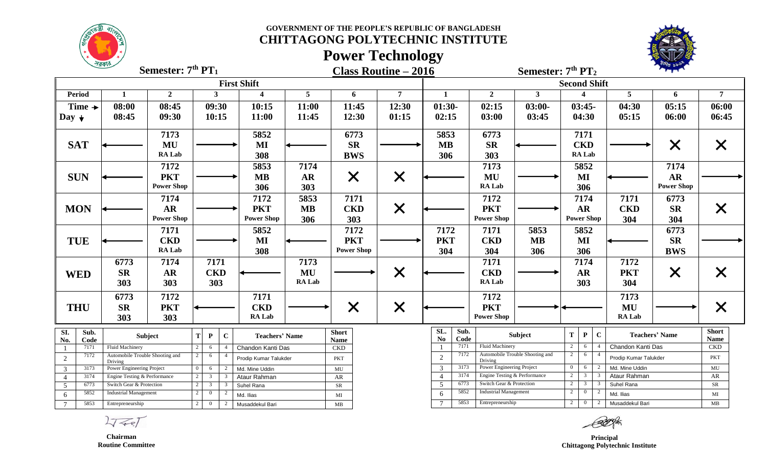**GOVERNMENT OF THE PEOPLE'S REPUBLIC OF BANGLADESH**



### **CHITTAGONG POLYTECHNIC INSTITUTE**



## **Power Technology**

| 75915<br>Semester: $7th PT1$ |                    |                                                          |                   |             |                                  |                |                              |                 | Class Routine $-2016$       |                |                       |              |                                                          | Semester: $7th PT2$             |                                         |                   |             |                            |                       |                             |
|------------------------------|--------------------|----------------------------------------------------------|-------------------|-------------|----------------------------------|----------------|------------------------------|-----------------|-----------------------------|----------------|-----------------------|--------------|----------------------------------------------------------|---------------------------------|-----------------------------------------|-------------------|-------------|----------------------------|-----------------------|-----------------------------|
|                              |                    |                                                          |                   |             |                                  |                | <b>First Shift</b>           |                 |                             |                |                       |              |                                                          |                                 | <b>Second Shift</b>                     |                   |             |                            |                       |                             |
| <b>Period</b>                |                    | 1                                                        | $\overline{2}$    |             | 3                                |                | $\overline{\mathbf{4}}$      | $5\overline{)}$ | 6                           | $\overline{7}$ | 1                     |              | $\mathbf{2}$                                             | 3 <sup>1</sup>                  |                                         | $\boldsymbol{4}$  |             | 5                          | 6                     | $\overline{7}$              |
|                              | Time $\rightarrow$ | 08:00                                                    | 08:45             |             | 09:30                            |                | 10:15                        | 11:00           | 11:45                       | 12:30          | $01:30-$              |              | 02:15                                                    | $03:00-$                        |                                         | $03:45-$          |             | 04:30                      | 05:15                 | 06:00                       |
| Day $\downarrow$             |                    | 08:45                                                    | 09:30             |             | 10:15                            |                | 11:00                        | 11:45           | 12:30                       | 01:15          | 02:15                 |              | 03:00                                                    | 03:45                           |                                         | 04:30             |             | 05:15                      | 06:00                 | 06:45                       |
|                              |                    |                                                          | 7173              |             |                                  |                | 5852                         |                 | 6773                        |                | 5853                  |              | 6773                                                     |                                 |                                         | 7171              |             |                            |                       |                             |
| <b>SAT</b>                   |                    |                                                          | MU                |             |                                  |                | $\bf MI$                     |                 | <b>SR</b>                   |                | <b>MB</b>             |              | $S_{\mathbf{R}}$                                         |                                 |                                         | <b>CKD</b>        |             |                            | $\times$              | X                           |
|                              |                    |                                                          | RA Lab            |             |                                  |                | 308                          |                 | <b>BWS</b>                  |                | 306                   |              | 303                                                      |                                 |                                         | RA Lab            |             |                            |                       |                             |
|                              |                    |                                                          | 7172              |             |                                  |                | 5853                         | 7174            |                             |                |                       |              | 7173                                                     |                                 |                                         | 5852              |             |                            | 7174                  |                             |
| <b>SUN</b>                   |                    |                                                          | <b>PKT</b>        |             |                                  |                | <b>MB</b>                    | AR              | $\bm{\mathsf{X}}$           | $\times$       |                       |              | MU                                                       |                                 |                                         | MI                |             |                            | <b>AR</b>             |                             |
|                              |                    |                                                          | <b>Power Shop</b> |             |                                  |                | 306                          | 303             |                             |                |                       |              | RA Lab                                                   |                                 |                                         | 306               |             |                            | <b>Power Shop</b>     |                             |
|                              |                    |                                                          | 7174              |             |                                  |                | 7172                         | 5853            | 7171                        |                |                       |              | 7172                                                     |                                 |                                         | 7174              |             | 7171                       | 6773                  |                             |
| <b>MON</b>                   |                    |                                                          | <b>AR</b>         |             |                                  |                | <b>PKT</b>                   | <b>MB</b>       | <b>CKD</b>                  | $\times$       |                       |              | <b>PKT</b>                                               |                                 |                                         | <b>AR</b>         |             | <b>CKD</b>                 | <b>SR</b>             | X                           |
|                              |                    |                                                          | <b>Power Shop</b> |             |                                  |                | <b>Power Shop</b>            | 306             | 303                         |                |                       |              | <b>Power Shop</b>                                        |                                 |                                         | <b>Power Shop</b> |             | 304                        | 304                   |                             |
|                              |                    |                                                          | 7171              |             |                                  |                | 5852                         |                 | 7172                        |                | 7172                  |              | 7171                                                     | 5853                            |                                         | 5852              |             |                            | 6773                  |                             |
| <b>TUE</b>                   |                    |                                                          | <b>CKD</b>        |             |                                  |                | MI                           |                 | <b>PKT</b>                  |                | <b>PKT</b>            |              | <b>CKD</b>                                               | <b>MB</b>                       |                                         | MI                |             |                            | <b>SR</b>             |                             |
|                              |                    |                                                          | <b>RA Lab</b>     |             |                                  |                | 308                          |                 | <b>Power Shop</b>           |                | 304                   |              | 304                                                      | 306                             |                                         | 306               |             |                            | <b>BWS</b>            |                             |
|                              |                    | 6773                                                     | 7174              |             | 7171                             |                |                              | 7173            |                             |                |                       |              | 7171                                                     |                                 |                                         | 7174              |             | 7172                       |                       |                             |
| <b>WED</b>                   |                    | $S_{\mathbf{R}}$                                         | AR                |             | <b>CKD</b>                       |                |                              | MU              |                             | $\times$       |                       |              | <b>CKD</b>                                               |                                 |                                         | <b>AR</b>         |             | <b>PKT</b>                 | $\times$              | $\bm{\mathsf{X}}$           |
|                              |                    | 303                                                      | 303               |             | 303                              |                |                              | RA Lab          |                             |                |                       |              | RA Lab                                                   |                                 |                                         | 303               |             | 304                        |                       |                             |
|                              |                    | 6773                                                     | 7172              |             |                                  |                | 7171                         |                 |                             |                |                       |              | 7172                                                     |                                 |                                         |                   |             | 7173                       |                       |                             |
|                              |                    |                                                          |                   |             |                                  |                | <b>CKD</b>                   |                 |                             |                |                       |              | <b>PKT</b>                                               |                                 |                                         |                   |             |                            |                       |                             |
| <b>THU</b>                   |                    | <b>SR</b>                                                | <b>PKT</b>        |             |                                  |                | RA Lab                       |                 | $\bm{\mathsf{X}}$           | $\times$       |                       |              | <b>Power Shop</b>                                        |                                 |                                         |                   |             | MU<br>RA Lab               |                       | X                           |
|                              |                    | 303                                                      | 303               |             |                                  |                |                              |                 |                             |                |                       |              |                                                          |                                 |                                         |                   |             |                            |                       |                             |
| SI.<br>No.                   | Sub.<br>Code       |                                                          | Subject           | T           | $\mathbf{P}$                     | $\mathbf C$    | <b>Teachers' Name</b>        |                 | <b>Short</b><br><b>Name</b> |                | SL.<br>N <sub>0</sub> | Sub.<br>Code |                                                          | Subject                         | T                                       | $\mathbf{P}$      | $\mathbf C$ |                            | <b>Teachers' Name</b> | <b>Short</b><br><b>Name</b> |
|                              | 7171               | Fluid Machinery                                          |                   | $2^{\circ}$ | 6                                | $\overline{4}$ | Chandon Kanti Das            |                 | CKD                         |                |                       | 7171         | Fluid Machinery                                          |                                 | 2                                       | 6                 |             | Chandon Kanti Das          |                       | <b>CKD</b>                  |
| $\overline{2}$               | 7172               | Automobile Trouble Shooting and<br>Driving               |                   | $2^{\circ}$ | 6                                | $\overline{4}$ | Prodip Kumar Talukder        |                 | <b>PKT</b>                  |                | $\overline{2}$        | 7172         | Driving                                                  | Automobile Trouble Shooting and | $\overline{2}$                          | 6                 |             | Prodip Kumar Talukder      |                       | $\mathbf{PKT}$              |
| 3                            | 3173               | Power Engineering Project                                |                   |             | 6                                |                | Md. Mine Uddin               |                 | MU                          |                | 3                     | 3173         | Power Engineering Project                                |                                 | $\Omega$<br>6                           |                   |             | Md. Mine Uddin             |                       | MU                          |
| 4                            | 3174               | Engine Testing & Performance                             |                   |             | $\overline{\mathbf{3}}$          |                | Ataur Rahman                 |                 | AR                          |                | $\overline{4}$<br>5   | 3174<br>6773 | Engine Testing & Performance<br>Switch Gear & Protection |                                 | $2^{\circ}$<br>3<br>$\overline{2}$<br>3 |                   |             | Ataur Rahman<br>Suhel Rana |                       | AR<br>SR                    |
| 5                            | 6773<br>5852       | Switch Gear & Protection<br><b>Industrial Management</b> |                   |             | $\overline{3}$<br>$\overline{0}$ |                | Suhel Rana                   |                 | SR                          |                | 6                     | 5852         | <b>Industrial Management</b>                             |                                 | $\overline{2}$                          | $\overline{0}$    |             | Md. Ilias                  |                       | MI                          |
| 6<br>$\tau$                  | 5853               | Entrepreneurship                                         |                   | 2           | $\overline{0}$                   | 2              | Md. Ilias<br>Musaddekul Bari |                 | MI<br>MB                    |                |                       | 5853         | Entrepreneurship                                         |                                 | $\overline{2}$                          |                   |             | Musaddekul Bari            |                       | MB                          |
|                              |                    |                                                          |                   |             |                                  |                |                              |                 |                             |                |                       |              |                                                          |                                 |                                         |                   |             |                            |                       |                             |

 **Principal Chittagong Polytechnic Institute**

 $2777$ 

 **Chairman Routine Committee**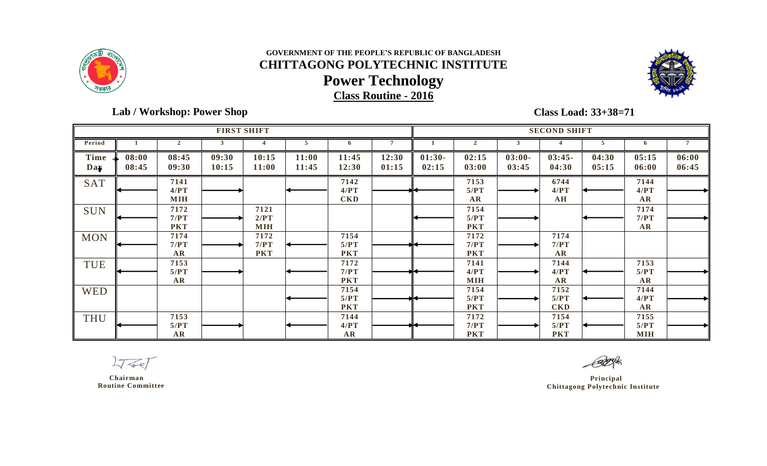

### **GOVERNMENT OF THE PEOPLE'S REPUBLIC OF BANGLADESH CHITTAGONG POLYTECHNIC INSTITUTE Power Technology Class Routine - 2016**



#### **Lab / Workshop: Power Shop**

**Class Load: 33+38=71**

|             |                |                            |                | <b>FIRST SHIFT</b>         |                | <b>SECOND SHIFT</b>                                          |                |                   |                            |                    |                                                              |                |                               |                |
|-------------|----------------|----------------------------|----------------|----------------------------|----------------|--------------------------------------------------------------|----------------|-------------------|----------------------------|--------------------|--------------------------------------------------------------|----------------|-------------------------------|----------------|
| Period      |                | $\overline{2}$             | $\mathbf{3}$   |                            | 5              | 6                                                            | $\overline{7}$ |                   | $\overline{2}$             | $\mathbf{3}$       |                                                              | 5              | 6                             | 7              |
| Time<br>Day | 08:00<br>08:45 | 08:45<br>09:30             | 09:30<br>10:15 | 10:15<br>11:00             | 11:00<br>11:45 | 11:45<br>12:30                                               | 12:30<br>01:15 | $01:30-$<br>02:15 | 02:15<br>03:00             | $03:00 -$<br>03:45 | $03:45-$<br>04:30                                            | 04:30<br>05:15 | 05:15<br>06:00                | 06:00<br>06:45 |
| <b>SAT</b>  |                | 7141<br>4/PT<br><b>MIH</b> |                |                            |                | 7142<br>4/PT<br><b>CKD</b>                                   |                |                   | 7153<br>5/PT<br>AR         |                    | 6744<br>4/PT<br>AH                                           |                | 7144<br>4/PT<br>$\mathbf{AR}$ |                |
| <b>SUN</b>  |                | 7172<br>7/PT<br><b>PKT</b> |                | 7121<br>2/PT<br><b>MIH</b> |                |                                                              |                |                   | 7154<br>5/PT<br><b>PKT</b> |                    |                                                              |                | 7174<br>7/PT<br>AR            |                |
| <b>MON</b>  |                | 7174<br>7/PT<br>AR         |                | 7172<br>7/PT<br><b>PKT</b> |                | 7154<br>5/PT<br><b>PKT</b>                                   |                |                   | 7172<br>7/PT<br><b>PKT</b> |                    | 7174<br>7/PT<br>$\overline{\mathbf{A}}\overline{\mathbf{R}}$ |                |                               |                |
| <b>TUE</b>  |                | 7153<br>5/PT<br>AR         |                |                            |                | 7172<br>7/PT<br><b>PKT</b>                                   |                |                   | 7141<br>4/PT<br><b>MIH</b> |                    | 7144<br>4/PT<br>AR                                           |                | 7153<br>5/PT<br>AR            |                |
| <b>WED</b>  |                |                            |                |                            |                | 7154<br>5/PT<br><b>PKT</b>                                   |                |                   | 7154<br>5/PT<br><b>PKT</b> |                    | 7152<br>5/PT<br><b>CKD</b>                                   |                | 7144<br>4/PT<br>$\mathbf{AR}$ |                |
| <b>THU</b>  |                | 7153<br>5/PT<br>AR         |                |                            |                | 7144<br>4/PT<br>$\overline{\mathbf{A}}\overline{\mathbf{R}}$ |                |                   | 7172<br>7/PT<br><b>PKT</b> |                    | 7154<br>5/PT<br><b>PKT</b>                                   |                | 7155<br>5/PT<br><b>MIH</b>    |                |

 $2777$ 

 **Chairman Routine Committee**

 **Principal Chittagong Polytechnic Institute**